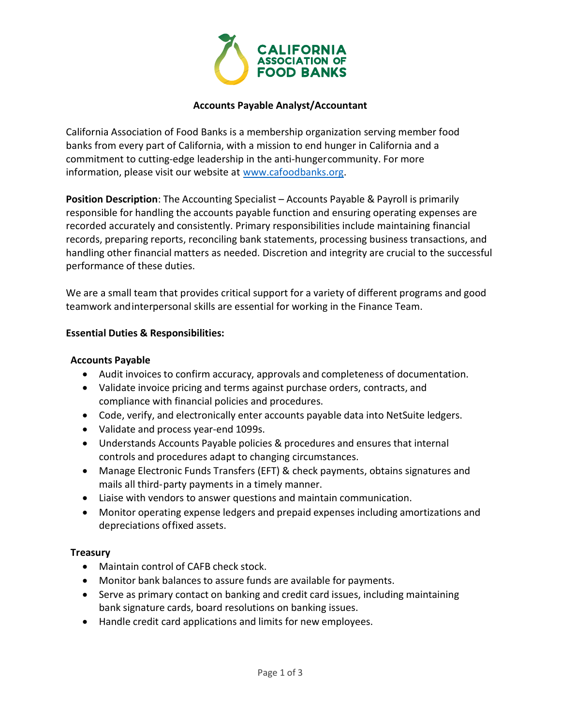

### Accounts Payable Analyst/Accountant

California Association of Food Banks is a membership organization serving member food banks from every part of California, with a mission to end hunger in California and a commitment to cutting-edge leadership in the anti-hunger community. For more information, please visit our website at www.cafoodbanks.org.

Position Description: The Accounting Specialist – Accounts Payable & Payroll is primarily responsible for handling the accounts payable function and ensuring operating expenses are recorded accurately and consistently. Primary responsibilities include maintaining financial records, preparing reports, reconciling bank statements, processing business transactions, and handling other financial matters as needed. Discretion and integrity are crucial to the successful performance of these duties.

We are a small team that provides critical support for a variety of different programs and good teamwork and interpersonal skills are essential for working in the Finance Team.

#### Essential Duties & Responsibilities:

#### Accounts Payable

- Audit invoices to confirm accuracy, approvals and completeness of documentation.
- Validate invoice pricing and terms against purchase orders, contracts, and compliance with financial policies and procedures.
- Code, verify, and electronically enter accounts payable data into NetSuite ledgers.
- Validate and process year-end 1099s.
- Understands Accounts Payable policies & procedures and ensures that internal controls and procedures adapt to changing circumstances.
- Manage Electronic Funds Transfers (EFT) & check payments, obtains signatures and mails all third- party payments in a timely manner.
- Liaise with vendors to answer questions and maintain communication.
- Monitor operating expense ledgers and prepaid expenses including amortizations and depreciations of fixed assets.

# **Treasury**

- Maintain control of CAFB check stock.
- Monitor bank balances to assure funds are available for payments.
- Serve as primary contact on banking and credit card issues, including maintaining bank signature cards, board resolutions on banking issues.
- Handle credit card applications and limits for new employees.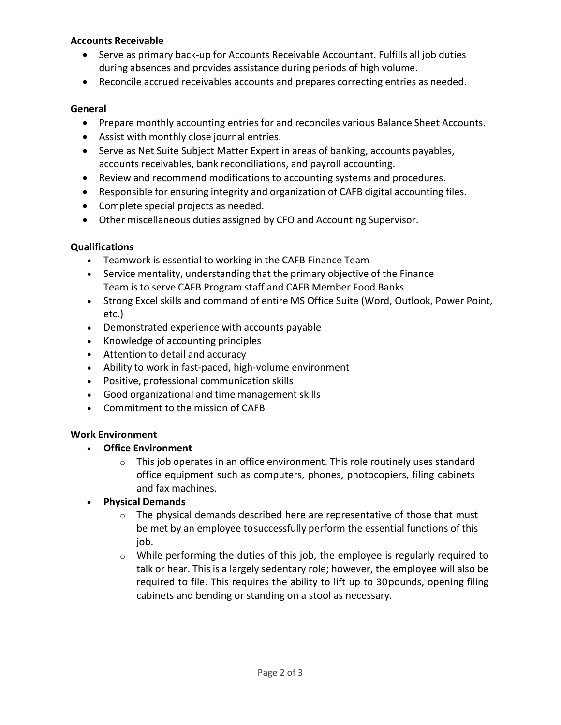### Accounts Receivable

- Serve as primary back-up for Accounts Receivable Accountant. Fulfills all job duties during absences and provides assistance during periods of high volume.
- Reconcile accrued receivables accounts and prepares correcting entries as needed.

#### General

- Prepare monthly accounting entries for and reconciles various Balance Sheet Accounts.
- Assist with monthly close journal entries.
- Serve as Net Suite Subject Matter Expert in areas of banking, accounts payables, accounts receivables, bank reconciliations, and payroll accounting.
- Review and recommend modifications to accounting systems and procedures.
- Responsible for ensuring integrity and organization of CAFB digital accounting files.
- Complete special projects as needed.
- Other miscellaneous duties assigned by CFO and Accounting Supervisor.

#### Qualifications

- Teamwork is essential to working in the CAFB Finance Team
- Service mentality, understanding that the primary objective of the Finance Team is to serve CAFB Program staff and CAFB Member Food Banks
- Strong Excel skills and command of entire MS Office Suite (Word, Outlook, Power Point, etc.)
- Demonstrated experience with accounts payable
- Knowledge of accounting principles
- Attention to detail and accuracy
- Ability to work in fast-paced, high-volume environment
- Positive, professional communication skills
- Good organizational and time management skills
- Commitment to the mission of CAFB

#### Work Environment

- Office Environment
	- $\circ$  This job operates in an office environment. This role routinely uses standard office equipment such as computers, phones, photocopiers, filing cabinets and fax machines.
- Physical Demands
	- $\circ$  The physical demands described here are representative of those that must be met by an employee to successfully perform the essential functions of this job.
	- $\circ$  While performing the duties of this job, the employee is regularly required to talk or hear. This is a largely sedentary role; however, the employee will also be required to file. This requires the ability to lift up to 30 pounds, opening filing cabinets and bending or standing on a stool as necessary.